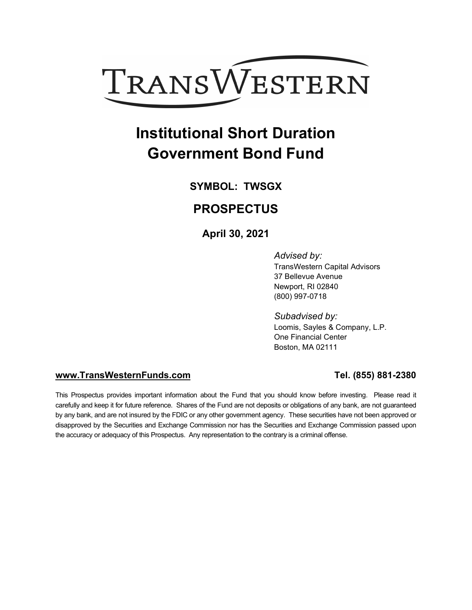

# **Institutional Short Duration Government Bond Fund**

**SYMBOL: TWSGX**

### **PROSPECTUS**

**April 30, 2021**

*Advised by:* TransWestern Capital Advisors 37 Bellevue Avenue Newport, RI 02840 (800) 997-0718

*Subadvised by:* Loomis, Sayles & Company, L.P. One Financial Center Boston, MA 02111

#### **[www.TransWesternFunds.com](http://www.transwesternfunds.com/) Tel. (855) 881-2380**

This Prospectus provides important information about the Fund that you should know before investing. Please read it carefully and keep it for future reference. Shares of the Fund are not deposits or obligations of any bank, are not guaranteed by any bank, and are not insured by the FDIC or any other government agency. These securities have not been approved or disapproved by the Securities and Exchange Commission nor has the Securities and Exchange Commission passed upon the accuracy or adequacy of this Prospectus. Any representation to the contrary is a criminal offense.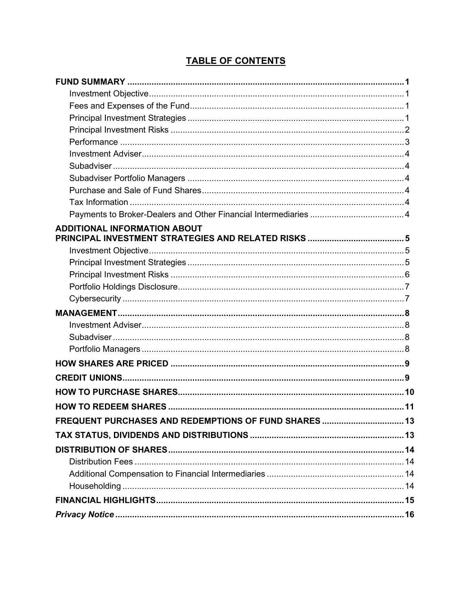### **TABLE OF CONTENTS**

| <b>ADDITIONAL INFORMATION ABOUT</b>               |     |
|---------------------------------------------------|-----|
|                                                   |     |
|                                                   |     |
|                                                   |     |
|                                                   |     |
|                                                   |     |
|                                                   |     |
|                                                   |     |
|                                                   |     |
|                                                   |     |
|                                                   |     |
|                                                   |     |
|                                                   |     |
|                                                   |     |
|                                                   |     |
| FREQUENT PURCHASES AND REDEMPTIONS OF FUND SHARES | .13 |
|                                                   |     |
|                                                   |     |
|                                                   |     |
|                                                   |     |
|                                                   |     |
|                                                   |     |
|                                                   |     |
|                                                   |     |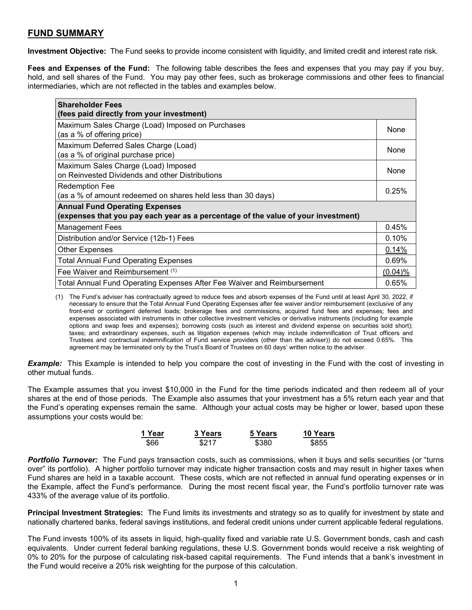### **FUND SUMMARY**

**Investment Objective:** The Fund seeks to provide income consistent with liquidity, and limited credit and interest rate risk.

**Fees and Expenses of the Fund:** The following table describes the fees and expenses that you may pay if you buy, hold, and sell shares of the Fund. You may pay other fees, such as brokerage commissions and other fees to financial intermediaries, which are not reflected in the tables and examples below.

| <b>Shareholder Fees</b>                                                           |            |
|-----------------------------------------------------------------------------------|------------|
| (fees paid directly from your investment)                                         |            |
| Maximum Sales Charge (Load) Imposed on Purchases                                  |            |
| (as a % of offering price)                                                        | None       |
| Maximum Deferred Sales Charge (Load)                                              |            |
| (as a % of original purchase price)                                               | None       |
| Maximum Sales Charge (Load) Imposed                                               |            |
| on Reinvested Dividends and other Distributions                                   | None       |
| Redemption Fee                                                                    | 0.25%      |
| (as a % of amount redeemed on shares held less than 30 days)                      |            |
| <b>Annual Fund Operating Expenses</b>                                             |            |
| (expenses that you pay each year as a percentage of the value of your investment) |            |
| <b>Management Fees</b>                                                            | 0.45%      |
| Distribution and/or Service (12b-1) Fees                                          | 0.10%      |
| <b>Other Expenses</b>                                                             | 0.14%      |
| <b>Total Annual Fund Operating Expenses</b>                                       | 0.69%      |
| Fee Waiver and Reimbursement (1)                                                  | $(0.04)$ % |
| Total Annual Fund Operating Expenses After Fee Waiver and Reimbursement           | 0.65%      |

(1) The Fund's adviser has contractually agreed to reduce fees and absorb expenses of the Fund until at least April 30, 2022, if necessary to ensure that the Total Annual Fund Operating Expenses after fee waiver and/or reimbursement (exclusive of any front-end or contingent deferred loads; brokerage fees and commissions, acquired fund fees and expenses; fees and expenses associated with instruments in other collective investment vehicles or derivative instruments (including for example options and swap fees and expenses); borrowing costs (such as interest and dividend expense on securities sold short); taxes; and extraordinary expenses, such as litigation expenses (which may include indemnification of Trust officers and Trustees and contractual indemnification of Fund service providers (other than the adviser)) do not exceed 0.65%. This agreement may be terminated only by the Trust's Board of Trustees on 60 days' written notice to the adviser.

*Example:* This Example is intended to help you compare the cost of investing in the Fund with the cost of investing in other mutual funds.

The Example assumes that you invest \$10,000 in the Fund for the time periods indicated and then redeem all of your shares at the end of those periods. The Example also assumes that your investment has a 5% return each year and that the Fund's operating expenses remain the same. Although your actual costs may be higher or lower, based upon these assumptions your costs would be:

| 1 Year | <b>3 Years</b> | 5 Years | 10 Years |
|--------|----------------|---------|----------|
| \$66   | \$217          | \$380   | \$855    |

*Portfolio Turnover:* The Fund pays transaction costs, such as commissions, when it buys and sells securities (or "turns over" its portfolio). A higher portfolio turnover may indicate higher transaction costs and may result in higher taxes when Fund shares are held in a taxable account. These costs, which are not reflected in annual fund operating expenses or in the Example, affect the Fund's performance. During the most recent fiscal year, the Fund's portfolio turnover rate was 433% of the average value of its portfolio.

**Principal Investment Strategies:** The Fund limits its investments and strategy so as to qualify for investment by state and nationally chartered banks, federal savings institutions, and federal credit unions under current applicable federal regulations.

The Fund invests 100% of its assets in liquid, high-quality fixed and variable rate U.S. Government bonds, cash and cash equivalents. Under current federal banking regulations, these U.S. Government bonds would receive a risk weighting of 0% to 20% for the purpose of calculating risk-based capital requirements. The Fund intends that a bank's investment in the Fund would receive a 20% risk weighting for the purpose of this calculation.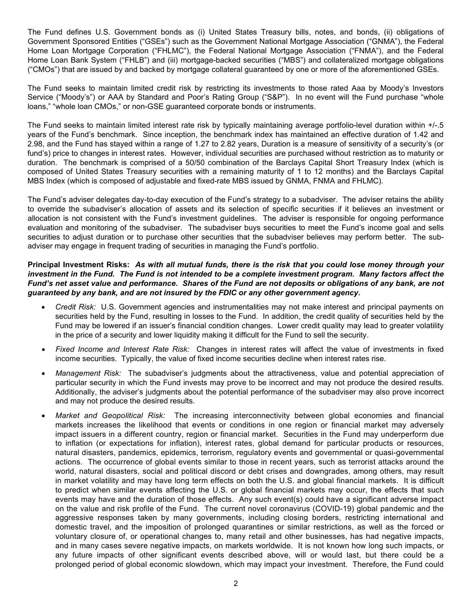The Fund defines U.S. Government bonds as (i) United States Treasury bills, notes, and bonds, (ii) obligations of Government Sponsored Entities ("GSEs") such as the Government National Mortgage Association ("GNMA"), the Federal Home Loan Mortgage Corporation ("FHLMC"), the Federal National Mortgage Association ("FNMA"), and the Federal Home Loan Bank System ("FHLB") and (iii) mortgage-backed securities ("MBS") and collateralized mortgage obligations ("CMOs") that are issued by and backed by mortgage collateral guaranteed by one or more of the aforementioned GSEs.

The Fund seeks to maintain limited credit risk by restricting its investments to those rated Aaa by Moody's Investors Service ("Moody's") or AAA by Standard and Poor's Rating Group ("S&P"). In no event will the Fund purchase "whole loans," "whole loan CMOs," or non-GSE guaranteed corporate bonds or instruments.

The Fund seeks to maintain limited interest rate risk by typically maintaining average portfolio-level duration within +/-.5 years of the Fund's benchmark. Since inception, the benchmark index has maintained an effective duration of 1.42 and 2.98, and the Fund has stayed within a range of 1.27 to 2.82 years, Duration is a measure of sensitivity of a security's (or fund's) price to changes in interest rates. However, individual securities are purchased without restriction as to maturity or duration. The benchmark is comprised of a 50/50 combination of the Barclays Capital Short Treasury Index (which is composed of United States Treasury securities with a remaining maturity of 1 to 12 months) and the Barclays Capital MBS Index (which is composed of adjustable and fixed-rate MBS issued by GNMA, FNMA and FHLMC).

The Fund's adviser delegates day-to-day execution of the Fund's strategy to a subadviser. The adviser retains the ability to override the subadviser's allocation of assets and its selection of specific securities if it believes an investment or allocation is not consistent with the Fund's investment guidelines. The adviser is responsible for ongoing performance evaluation and monitoring of the subadviser. The subadviser buys securities to meet the Fund's income goal and sells securities to adjust duration or to purchase other securities that the subadviser believes may perform better. The subadviser may engage in frequent trading of securities in managing the Fund's portfolio.

#### Principal Investment Risks: As with all mutual funds, there is the risk that you could lose money through your investment in the Fund. The Fund is not intended to be a complete investment program. Many factors affect the Fund's net asset value and performance. Shares of the Fund are not deposits or obligations of any bank, are not *guaranteed by any bank, and are not insured by the FDIC or any other government agency.*

- *Credit Risk:* U.S. Government agencies and instrumentalities may not make interest and principal payments on securities held by the Fund, resulting in losses to the Fund. In addition, the credit quality of securities held by the Fund may be lowered if an issuer's financial condition changes. Lower credit quality may lead to greater volatility in the price of a security and lower liquidity making it difficult for the Fund to sell the security.
- *Fixed Income and Interest Rate Risk:* Changes in interest rates will affect the value of investments in fixed income securities. Typically, the value of fixed income securities decline when interest rates rise.
- *Management Risk:* The subadviser's judgments about the attractiveness, value and potential appreciation of particular security in which the Fund invests may prove to be incorrect and may not produce the desired results. Additionally, the adviser's judgments about the potential performance of the subadviser may also prove incorrect and may not produce the desired results.
- *Market and Geopolitical Risk:* The increasing interconnectivity between global economies and financial markets increases the likelihood that events or conditions in one region or financial market may adversely impact issuers in a different country, region or financial market. Securities in the Fund may underperform due to inflation (or expectations for inflation), interest rates, global demand for particular products or resources, natural disasters, pandemics, epidemics, terrorism, regulatory events and governmental or quasi-governmental actions. The occurrence of global events similar to those in recent years, such as terrorist attacks around the world, natural disasters, social and political discord or debt crises and downgrades, among others, may result in market volatility and may have long term effects on both the U.S. and global financial markets. It is difficult to predict when similar events affecting the U.S. or global financial markets may occur, the effects that such events may have and the duration of those effects. Any such event(s) could have a significant adverse impact on the value and risk profile of the Fund. The current novel coronavirus (COVID-19) global pandemic and the aggressive responses taken by many governments, including closing borders, restricting international and domestic travel, and the imposition of prolonged quarantines or similar restrictions, as well as the forced or voluntary closure of, or operational changes to, many retail and other businesses, has had negative impacts, and in many cases severe negative impacts, on markets worldwide. It is not known how long such impacts, or any future impacts of other significant events described above, will or would last, but there could be a prolonged period of global economic slowdown, which may impact your investment. Therefore, the Fund could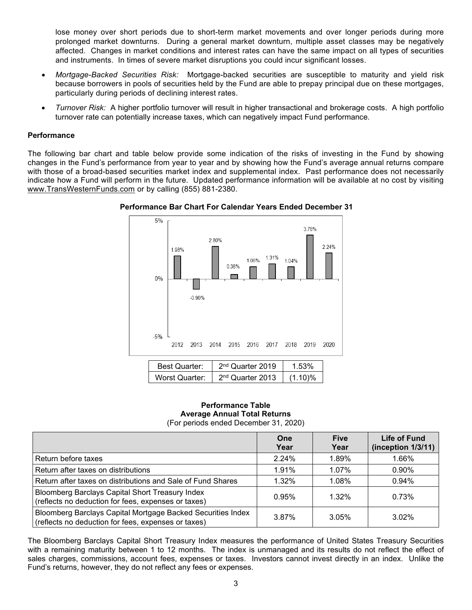lose money over short periods due to short-term market movements and over longer periods during more prolonged market downturns. During a general market downturn, multiple asset classes may be negatively affected. Changes in market conditions and interest rates can have the same impact on all types of securities and instruments. In times of severe market disruptions you could incur significant losses.

- *Mortgage-Backed Securities Risk:* Mortgage-backed securities are susceptible to maturity and yield risk because borrowers in pools of securities held by the Fund are able to prepay principal due on these mortgages, particularly during periods of declining interest rates.
- *Turnover Risk:* A higher portfolio turnover will result in higher transactional and brokerage costs. A high portfolio turnover rate can potentially increase taxes, which can negatively impact Fund performance.

#### **Performance**

The following bar chart and table below provide some indication of the risks of investing in the Fund by showing changes in the Fund's performance from year to year and by showing how the Fund's average annual returns compare with those of a broad-based securities market index and supplemental index. Past performance does not necessarily indicate how a Fund will perform in the future. Updated performance information will be available at no cost by visiting www.TransWesternFunds.com or by calling (855) 881-2380.



**Performance Bar Chart For Calendar Years Ended December 31**

#### **Performance Table Average Annual Total Returns** (For periods ended December 31, 2020)

|                                                                                                                    | One<br>Year | <b>Five</b><br>Year | Life of Fund<br>(inception 1/3/11) |
|--------------------------------------------------------------------------------------------------------------------|-------------|---------------------|------------------------------------|
| Return before taxes                                                                                                | 2.24%       | 1.89%               | 1.66%                              |
| Return after taxes on distributions                                                                                | 1.91%       | $1.07\%$            | 0.90%                              |
| Return after taxes on distributions and Sale of Fund Shares                                                        | $1.32\%$    | 1.08%               | 0.94%                              |
| Bloomberg Barclays Capital Short Treasury Index<br>(reflects no deduction for fees, expenses or taxes)             | 0.95%       | $1.32\%$            | 0.73%                              |
| Bloomberg Barclays Capital Mortgage Backed Securities Index<br>(reflects no deduction for fees, expenses or taxes) | 3.87%       | 3.05%               | $3.02\%$                           |

The Bloomberg Barclays Capital Short Treasury Index measures the performance of United States Treasury Securities with a remaining maturity between 1 to 12 months. The index is unmanaged and its results do not reflect the effect of sales charges, commissions, account fees, expenses or taxes. Investors cannot invest directly in an index. Unlike the Fund's returns, however, they do not reflect any fees or expenses.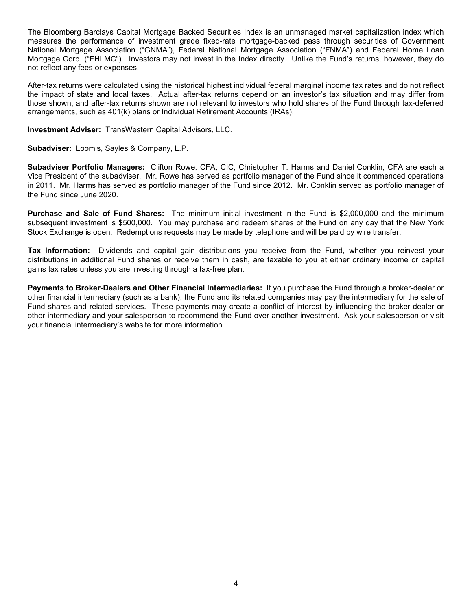The Bloomberg Barclays Capital Mortgage Backed Securities Index is an unmanaged market capitalization index which measures the performance of investment grade fixed-rate mortgage-backed pass through securities of Government National Mortgage Association ("GNMA"), Federal National Mortgage Association ("FNMA") and Federal Home Loan Mortgage Corp. ("FHLMC"). Investors may not invest in the Index directly. Unlike the Fund's returns, however, they do not reflect any fees or expenses.

After-tax returns were calculated using the historical highest individual federal marginal income tax rates and do not reflect the impact of state and local taxes. Actual after-tax returns depend on an investor's tax situation and may differ from those shown, and after-tax returns shown are not relevant to investors who hold shares of the Fund through tax-deferred arrangements, such as 401(k) plans or Individual Retirement Accounts (IRAs).

**Investment Adviser:** TransWestern Capital Advisors, LLC.

**Subadviser:** Loomis, Sayles & Company, L.P.

**Subadviser Portfolio Managers:** Clifton Rowe, CFA, CIC, Christopher T. Harms and Daniel Conklin, CFA are each a Vice President of the subadviser. Mr. Rowe has served as portfolio manager of the Fund since it commenced operations in 2011. Mr. Harms has served as portfolio manager of the Fund since 2012. Mr. Conklin served as portfolio manager of the Fund since June 2020.

**Purchase and Sale of Fund Shares:** The minimum initial investment in the Fund is \$2,000,000 and the minimum subsequent investment is \$500,000. You may purchase and redeem shares of the Fund on any day that the New York Stock Exchange is open. Redemptions requests may be made by telephone and will be paid by wire transfer.

**Tax Information:** Dividends and capital gain distributions you receive from the Fund, whether you reinvest your distributions in additional Fund shares or receive them in cash, are taxable to you at either ordinary income or capital gains tax rates unless you are investing through a tax-free plan.

**Payments to Broker-Dealers and Other Financial Intermediaries:** If you purchase the Fund through a broker-dealer or other financial intermediary (such as a bank), the Fund and its related companies may pay the intermediary for the sale of Fund shares and related services. These payments may create a conflict of interest by influencing the broker-dealer or other intermediary and your salesperson to recommend the Fund over another investment. Ask your salesperson or visit your financial intermediary's website for more information.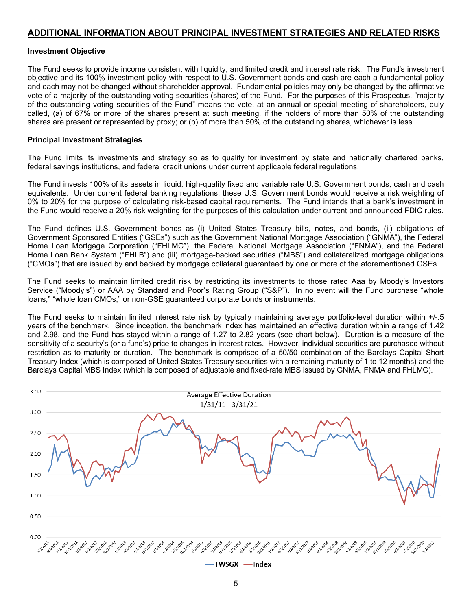#### **ADDITIONAL INFORMATION ABOUT PRINCIPAL INVESTMENT STRATEGIES AND RELATED RISKS**

#### **Investment Objective**

The Fund seeks to provide income consistent with liquidity, and limited credit and interest rate risk. The Fund's investment objective and its 100% investment policy with respect to U.S. Government bonds and cash are each a fundamental policy and each may not be changed without shareholder approval. Fundamental policies may only be changed by the affirmative vote of a majority of the outstanding voting securities (shares) of the Fund. For the purposes of this Prospectus, "majority of the outstanding voting securities of the Fund" means the vote, at an annual or special meeting of shareholders, duly called, (a) of 67% or more of the shares present at such meeting, if the holders of more than 50% of the outstanding shares are present or represented by proxy; or (b) of more than 50% of the outstanding shares, whichever is less.

#### **Principal Investment Strategies**

The Fund limits its investments and strategy so as to qualify for investment by state and nationally chartered banks, federal savings institutions, and federal credit unions under current applicable federal regulations.

The Fund invests 100% of its assets in liquid, high-quality fixed and variable rate U.S. Government bonds, cash and cash equivalents. Under current federal banking regulations, these U.S. Government bonds would receive a risk weighting of 0% to 20% for the purpose of calculating risk-based capital requirements. The Fund intends that a bank's investment in the Fund would receive a 20% risk weighting for the purposes of this calculation under current and announced FDIC rules.

The Fund defines U.S. Government bonds as (i) United States Treasury bills, notes, and bonds, (ii) obligations of Government Sponsored Entities ("GSEs") such as the Government National Mortgage Association ("GNMA"), the Federal Home Loan Mortgage Corporation ("FHLMC"), the Federal National Mortgage Association ("FNMA"), and the Federal Home Loan Bank System ("FHLB") and (iii) mortgage-backed securities ("MBS") and collateralized mortgage obligations ("CMOs") that are issued by and backed by mortgage collateral guaranteed by one or more of the aforementioned GSEs.

The Fund seeks to maintain limited credit risk by restricting its investments to those rated Aaa by Moody's Investors Service ("Moody's") or AAA by Standard and Poor's Rating Group ("S&P"). In no event will the Fund purchase "whole loans," "whole loan CMOs," or non-GSE guaranteed corporate bonds or instruments.

The Fund seeks to maintain limited interest rate risk by typically maintaining average portfolio-level duration within +/-.5 years of the benchmark. Since inception, the benchmark index has maintained an effective duration within a range of 1.42 and 2.98, and the Fund has stayed within a range of 1.27 to 2.82 years (see chart below). Duration is a measure of the sensitivity of a security's (or a fund's) price to changes in interest rates. However, individual securities are purchased without restriction as to maturity or duration. The benchmark is comprised of a 50/50 combination of the Barclays Capital Short Treasury Index (which is composed of United States Treasury securities with a remaining maturity of 1 to 12 months) and the Barclays Capital MBS Index (which is composed of adjustable and fixed-rate MBS issued by GNMA, FNMA and FHLMC).

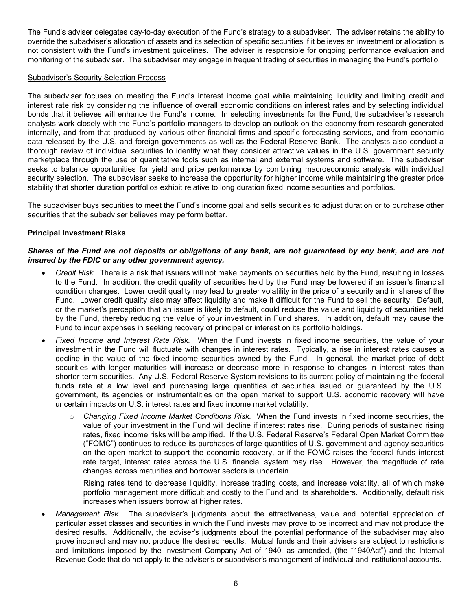The Fund's adviser delegates day-to-day execution of the Fund's strategy to a subadviser. The adviser retains the ability to override the subadviser's allocation of assets and its selection of specific securities if it believes an investment or allocation is not consistent with the Fund's investment guidelines. The adviser is responsible for ongoing performance evaluation and monitoring of the subadviser. The subadviser may engage in frequent trading of securities in managing the Fund's portfolio.

#### Subadviser's Security Selection Process

The subadviser focuses on meeting the Fund's interest income goal while maintaining liquidity and limiting credit and interest rate risk by considering the influence of overall economic conditions on interest rates and by selecting individual bonds that it believes will enhance the Fund's income. In selecting investments for the Fund, the subadviser's research analysts work closely with the Fund's portfolio managers to develop an outlook on the economy from research generated internally, and from that produced by various other financial firms and specific forecasting services, and from economic data released by the U.S. and foreign governments as well as the Federal Reserve Bank. The analysts also conduct a thorough review of individual securities to identify what they consider attractive values in the U.S. government security marketplace through the use of quantitative tools such as internal and external systems and software. The subadviser seeks to balance opportunities for yield and price performance by combining macroeconomic analysis with individual security selection. The subadviser seeks to increase the opportunity for higher income while maintaining the greater price stability that shorter duration portfolios exhibit relative to long duration fixed income securities and portfolios.

The subadviser buys securities to meet the Fund's income goal and sells securities to adjust duration or to purchase other securities that the subadviser believes may perform better.

#### **Principal Investment Risks**

#### Shares of the Fund are not deposits or obligations of any bank, are not guaranteed by any bank, and are not *insured by the FDIC or any other government agency.*

- *Credit Risk.* There is a risk that issuers will not make payments on securities held by the Fund, resulting in losses to the Fund. In addition, the credit quality of securities held by the Fund may be lowered if an issuer's financial condition changes. Lower credit quality may lead to greater volatility in the price of a security and in shares of the Fund. Lower credit quality also may affect liquidity and make it difficult for the Fund to sell the security. Default, or the market's perception that an issuer is likely to default, could reduce the value and liquidity of securities held by the Fund, thereby reducing the value of your investment in Fund shares. In addition, default may cause the Fund to incur expenses in seeking recovery of principal or interest on its portfolio holdings.
- *Fixed Income and Interest Rate Risk.* When the Fund invests in fixed income securities, the value of your investment in the Fund will fluctuate with changes in interest rates. Typically, a rise in interest rates causes a decline in the value of the fixed income securities owned by the Fund. In general, the market price of debt securities with longer maturities will increase or decrease more in response to changes in interest rates than shorter-term securities. Any U.S. Federal Reserve System revisions to its current policy of maintaining the federal funds rate at a low level and purchasing large quantities of securities issued or guaranteed by the U.S. government, its agencies or instrumentalities on the open market to support U.S. economic recovery will have uncertain impacts on U.S. interest rates and fixed income market volatility.
	- o *Changing Fixed Income Market Conditions Risk.* When the Fund invests in fixed income securities, the value of your investment in the Fund will decline if interest rates rise. During periods of sustained rising rates, fixed income risks will be amplified. If the U.S. Federal Reserve's Federal Open Market Committee ("FOMC") continues to reduce its purchases of large quantities of U.S. government and agency securities on the open market to support the economic recovery, or if the FOMC raises the federal funds interest rate target, interest rates across the U.S. financial system may rise. However, the magnitude of rate changes across maturities and borrower sectors is uncertain.

Rising rates tend to decrease liquidity, increase trading costs, and increase volatility, all of which make portfolio management more difficult and costly to the Fund and its shareholders. Additionally, default risk increases when issuers borrow at higher rates.

• *Management Risk.* The subadviser's judgments about the attractiveness, value and potential appreciation of particular asset classes and securities in which the Fund invests may prove to be incorrect and may not produce the desired results. Additionally, the adviser's judgments about the potential performance of the subadviser may also prove incorrect and may not produce the desired results. Mutual funds and their advisers are subject to restrictions and limitations imposed by the Investment Company Act of 1940, as amended, (the "1940Act") and the Internal Revenue Code that do not apply to the adviser's or subadviser's management of individual and institutional accounts.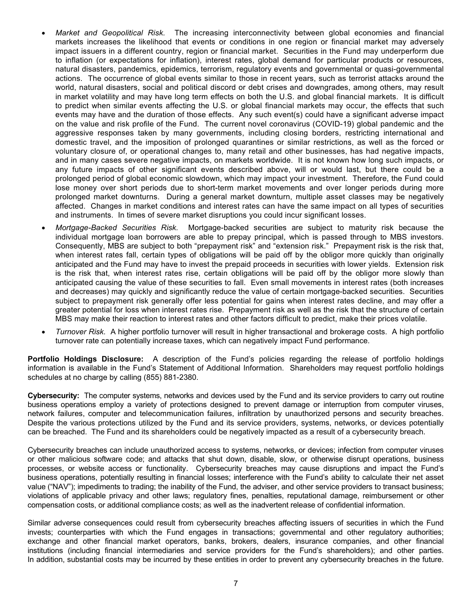- *Market and Geopolitical Risk.* The increasing interconnectivity between global economies and financial markets increases the likelihood that events or conditions in one region or financial market may adversely impact issuers in a different country, region or financial market. Securities in the Fund may underperform due to inflation (or expectations for inflation), interest rates, global demand for particular products or resources, natural disasters, pandemics, epidemics, terrorism, regulatory events and governmental or quasi-governmental actions. The occurrence of global events similar to those in recent years, such as terrorist attacks around the world, natural disasters, social and political discord or debt crises and downgrades, among others, may result in market volatility and may have long term effects on both the U.S. and global financial markets. It is difficult to predict when similar events affecting the U.S. or global financial markets may occur, the effects that such events may have and the duration of those effects. Any such event(s) could have a significant adverse impact on the value and risk profile of the Fund. The current novel coronavirus (COVID-19) global pandemic and the aggressive responses taken by many governments, including closing borders, restricting international and domestic travel, and the imposition of prolonged quarantines or similar restrictions, as well as the forced or voluntary closure of, or operational changes to, many retail and other businesses, has had negative impacts, and in many cases severe negative impacts, on markets worldwide. It is not known how long such impacts, or any future impacts of other significant events described above, will or would last, but there could be a prolonged period of global economic slowdown, which may impact your investment. Therefore, the Fund could lose money over short periods due to short-term market movements and over longer periods during more prolonged market downturns. During a general market downturn, multiple asset classes may be negatively affected. Changes in market conditions and interest rates can have the same impact on all types of securities and instruments. In times of severe market disruptions you could incur significant losses.
- *Mortgage-Backed Securities Risk.* Mortgage-backed securities are subject to maturity risk because the individual mortgage loan borrowers are able to prepay principal, which is passed through to MBS investors. Consequently, MBS are subject to both "prepayment risk" and "extension risk." Prepayment risk is the risk that, when interest rates fall, certain types of obligations will be paid off by the obligor more quickly than originally anticipated and the Fund may have to invest the prepaid proceeds in securities with lower yields. Extension risk is the risk that, when interest rates rise, certain obligations will be paid off by the obligor more slowly than anticipated causing the value of these securities to fall. Even small movements in interest rates (both increases and decreases) may quickly and significantly reduce the value of certain mortgage-backed securities. Securities subject to prepayment risk generally offer less potential for gains when interest rates decline, and may offer a greater potential for loss when interest rates rise. Prepayment risk as well as the risk that the structure of certain MBS may make their reaction to interest rates and other factors difficult to predict, make their prices volatile.
- *Turnover Risk.* A higher portfolio turnover will result in higher transactional and brokerage costs. A high portfolio turnover rate can potentially increase taxes, which can negatively impact Fund performance.

**Portfolio Holdings Disclosure:** A description of the Fund's policies regarding the release of portfolio holdings information is available in the Fund's Statement of Additional Information. Shareholders may request portfolio holdings schedules at no charge by calling (855) 881-2380.

**Cybersecurity:** The computer systems, networks and devices used by the Fund and its service providers to carry out routine business operations employ a variety of protections designed to prevent damage or interruption from computer viruses, network failures, computer and telecommunication failures, infiltration by unauthorized persons and security breaches. Despite the various protections utilized by the Fund and its service providers, systems, networks, or devices potentially can be breached. The Fund and its shareholders could be negatively impacted as a result of a cybersecurity breach.

Cybersecurity breaches can include unauthorized access to systems, networks, or devices; infection from computer viruses or other malicious software code; and attacks that shut down, disable, slow, or otherwise disrupt operations, business processes, or website access or functionality. Cybersecurity breaches may cause disruptions and impact the Fund's business operations, potentially resulting in financial losses; interference with the Fund's ability to calculate their net asset value ("NAV"); impediments to trading; the inability of the Fund, the adviser, and other service providers to transact business; violations of applicable privacy and other laws; regulatory fines, penalties, reputational damage, reimbursement or other compensation costs, or additional compliance costs; as well as the inadvertent release of confidential information.

Similar adverse consequences could result from cybersecurity breaches affecting issuers of securities in which the Fund invests; counterparties with which the Fund engages in transactions; governmental and other regulatory authorities; exchange and other financial market operators, banks, brokers, dealers, insurance companies, and other financial institutions (including financial intermediaries and service providers for the Fund's shareholders); and other parties. In addition, substantial costs may be incurred by these entities in order to prevent any cybersecurity breaches in the future.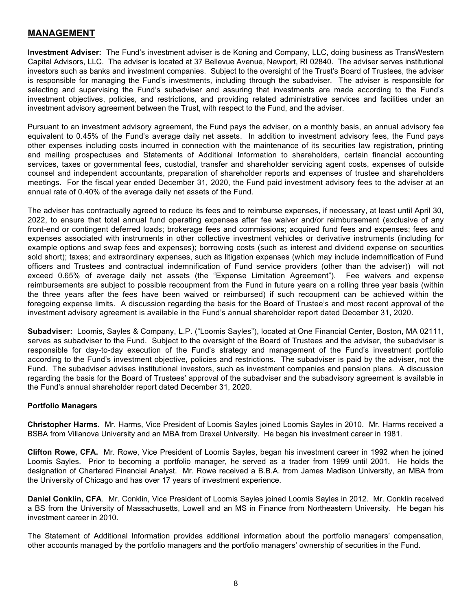#### **MANAGEMENT**

**Investment Adviser:** The Fund's investment adviser is de Koning and Company, LLC, doing business as TransWestern Capital Advisors, LLC. The adviser is located at 37 Bellevue Avenue, Newport, RI 02840. The adviser serves institutional investors such as banks and investment companies. Subject to the oversight of the Trust's Board of Trustees, the adviser is responsible for managing the Fund's investments, including through the subadviser. The adviser is responsible for selecting and supervising the Fund's subadviser and assuring that investments are made according to the Fund's investment objectives, policies, and restrictions, and providing related administrative services and facilities under an investment advisory agreement between the Trust, with respect to the Fund, and the adviser.

Pursuant to an investment advisory agreement, the Fund pays the adviser, on a monthly basis, an annual advisory fee equivalent to 0.45% of the Fund's average daily net assets. In addition to investment advisory fees, the Fund pays other expenses including costs incurred in connection with the maintenance of its securities law registration, printing and mailing prospectuses and Statements of Additional Information to shareholders, certain financial accounting services, taxes or governmental fees, custodial, transfer and shareholder servicing agent costs, expenses of outside counsel and independent accountants, preparation of shareholder reports and expenses of trustee and shareholders meetings. For the fiscal year ended December 31, 2020, the Fund paid investment advisory fees to the adviser at an annual rate of 0.40% of the average daily net assets of the Fund.

The adviser has contractually agreed to reduce its fees and to reimburse expenses, if necessary, at least until April 30, 2022, to ensure that total annual fund operating expenses after fee waiver and/or reimbursement (exclusive of any front-end or contingent deferred loads; brokerage fees and commissions; acquired fund fees and expenses; fees and expenses associated with instruments in other collective investment vehicles or derivative instruments (including for example options and swap fees and expenses); borrowing costs (such as interest and dividend expense on securities sold short); taxes; and extraordinary expenses, such as litigation expenses (which may include indemnification of Fund officers and Trustees and contractual indemnification of Fund service providers (other than the adviser)) will not exceed 0.65% of average daily net assets (the "Expense Limitation Agreement"). Fee waivers and expense reimbursements are subject to possible recoupment from the Fund in future years on a rolling three year basis (within the three years after the fees have been waived or reimbursed) if such recoupment can be achieved within the foregoing expense limits. A discussion regarding the basis for the Board of Trustee's and most recent approval of the investment advisory agreement is available in the Fund's annual shareholder report dated December 31, 2020.

**Subadviser:** Loomis, Sayles & Company, L.P. ("Loomis Sayles"), located at One Financial Center, Boston, MA 02111, serves as subadviser to the Fund. Subject to the oversight of the Board of Trustees and the adviser, the subadviser is responsible for day-to-day execution of the Fund's strategy and management of the Fund's investment portfolio according to the Fund's investment objective, policies and restrictions. The subadviser is paid by the adviser, not the Fund. The subadviser advises institutional investors, such as investment companies and pension plans. A discussion regarding the basis for the Board of Trustees' approval of the subadviser and the subadvisory agreement is available in the Fund's annual shareholder report dated December 31, 2020.

#### **Portfolio Managers**

**Christopher Harms.** Mr. Harms, Vice President of Loomis Sayles joined Loomis Sayles in 2010. Mr. Harms received a BSBA from Villanova University and an MBA from Drexel University. He began his investment career in 1981.

**Clifton Rowe, CFA.** Mr. Rowe, Vice President of Loomis Sayles, began his investment career in 1992 when he joined Loomis Sayles. Prior to becoming a portfolio manager, he served as a trader from 1999 until 2001. He holds the designation of Chartered Financial Analyst. Mr. Rowe received a B.B.A. from James Madison University, an MBA from the University of Chicago and has over 17 years of investment experience.

**Daniel Conklin, CFA**. Mr. Conklin, Vice President of Loomis Sayles joined Loomis Sayles in 2012. Mr. Conklin received a BS from the University of Massachusetts, Lowell and an MS in Finance from Northeastern University. He began his investment career in 2010.

The Statement of Additional Information provides additional information about the portfolio managers' compensation, other accounts managed by the portfolio managers and the portfolio managers' ownership of securities in the Fund.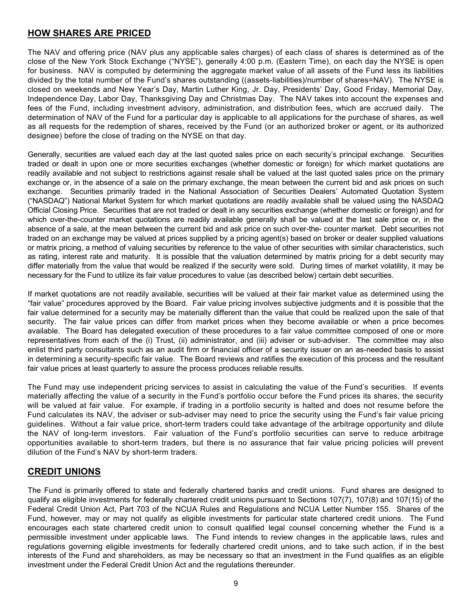### **HOW SHARES ARE PRICED**

The NAV and offering price (NAV plus any applicable sales charges) of each class of shares is determined as of the close of the New York Stock Exchange ("NYSE"), generally 4:00 p.m. (Eastern Time), on each day the NYSE is open for business. NAV is computed by determining the aggregate market value of all assets of the Fund less its liabilities divided by the total number of the Fund's shares outstanding ((assets-liabilities)/number of shares=NAV). The NYSE is closed on weekends and New Year's Day, Martin Luther King, Jr. Day, Presidents' Day, Good Friday, Memorial Day, Independence Day, Labor Day, Thanksgiving Day and Christmas Day. The NAV takes into account the expenses and fees of the Fund, including investment advisory, administration, and distribution fees, which are accrued daily. The determination of NAV of the Fund for a particular day is applicable to all applications for the purchase of shares, as well as all requests for the redemption of shares, received by the Fund (or an authorized broker or agent, or its authorized designee) before the close of trading on the NYSE on that day.

Generally, securities are valued each day at the last quoted sales price on each security's principal exchange. Securities traded or dealt in upon one or more securities exchanges (whether domestic or foreign) for which market quotations are readily available and not subject to restrictions against resale shall be valued at the last quoted sales price on the primary exchange or, in the absence of a sale on the primary exchange, the mean between the current bid and ask prices on such exchange. Securities primarily traded in the National Association of Securities Dealers' Automated Quotation System ("NASDAQ") National Market System for which market quotations are readily available shall be valued using the NASDAQ Official Closing Price. Securities that are not traded or dealt in any securities exchange (whether domestic or foreign) and for which over-the-counter market quotations are readily available generally shall be valued at the last sale price or, in the absence of a sale, at the mean between the current bid and ask price on such over-the- counter market. Debt securities not traded on an exchange may be valued at prices supplied by a pricing agent(s) based on broker or dealer supplied valuations or matrix pricing, a method of valuing securities by reference to the value of other securities with similar characteristics, such as rating, interest rate and maturity. It is possible that the valuation determined by matrix pricing for a debt security may differ materially from the value that would be realized if the security were sold. During times of market volatility, it may be necessary for the Fund to utilize its fair value procedures to value (as described below) certain debt securities.

If market quotations are not readily available, securities will be valued at their fair market value as determined using the "fair value" procedures approved by the Board. Fair value pricing involves subjective judgments and it is possible that the fair value determined for a security may be materially different than the value that could be realized upon the sale of that security. The fair value prices can differ from market prices when they become available or when a price becomes available. The Board has delegated execution of these procedures to a fair value committee composed of one or more representatives from each of the (i) Trust, (ii) administrator, and (iii) adviser or sub-adviser. The committee may also enlist third party consultants such as an audit firm or financial officer of a security issuer on an as-needed basis to assist in determining a security-specific fair value. The Board reviews and ratifies the execution of this process and the resultant fair value prices at least quarterly to assure the process produces reliable results.

The Fund may use independent pricing services to assist in calculating the value of the Fund's securities. If events materially affecting the value of a security in the Fund's portfolio occur before the Fund prices its shares, the security will be valued at fair value. For example, if trading in a portfolio security is halted and does not resume before the Fund calculates its NAV, the adviser or sub-adviser may need to price the security using the Fund's fair value pricing guidelines. Without a fair value price, short-term traders could take advantage of the arbitrage opportunity and dilute the NAV of long-term investors. Fair valuation of the Fund's portfolio securities can serve to reduce arbitrage opportunities available to short-term traders, but there is no assurance that fair value pricing policies will prevent dilution of the Fund's NAV by short-term traders.

### **CREDIT UNIONS**

The Fund is primarily offered to state and federally chartered banks and credit unions. Fund shares are designed to qualify as eligible investments for federally chartered credit unions pursuant to Sections 107(7), 107(8) and 107(15) of the Federal Credit Union Act, Part 703 of the NCUA Rules and Regulations and NCUA Letter Number 155. Shares of the Fund, however, may or may not qualify as eligible investments for particular state chartered credit unions. The Fund encourages each state chartered credit union to consult qualified legal counsel concerning whether the Fund is a permissible investment under applicable laws. The Fund intends to review changes in the applicable laws, rules and regulations governing eligible investments for federally chartered credit unions, and to take such action, if in the best interests of the Fund and shareholders, as may be necessary so that an investment in the Fund qualifies as an eligible investment under the Federal Credit Union Act and the regulations thereunder.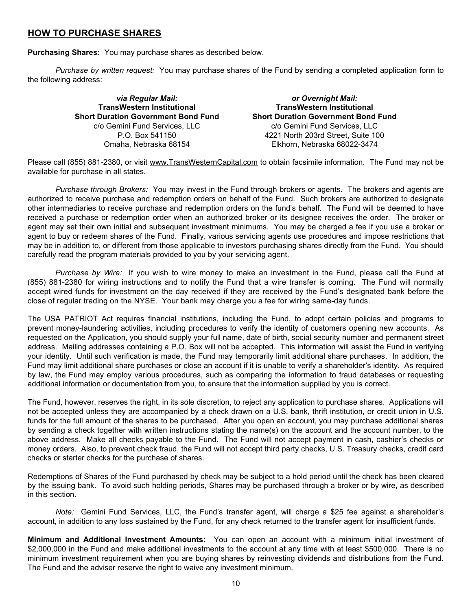### **HOW TO PURCHASE SHARES**

**Purchasing Shares:** You may purchase shares as described below.

*Purchase by written request:* You may purchase shares of the Fund by sending a completed application form to the following address:

> *via Regular Mail:* **TransWestern Institutional Short Duration Government Bond Fund** c/o Gemini Fund Services, LLC P.O. Box 541150 Omaha, Nebraska 68154

*or Overnight Mail:* **TransWestern Institutional Short Duration Government Bond Fund** c/o Gemini Fund Services, LLC 4221 North 203rd Street, Suite 100 Elkhorn, Nebraska 68022-3474

Please call (855) 881-2380, or visit www.TransWesternCapital.com to obtain facsimile information. The Fund may not be available for purchase in all states.

*Purchase through Brokers:* You may invest in the Fund through brokers or agents. The brokers and agents are authorized to receive purchase and redemption orders on behalf of the Fund. Such brokers are authorized to designate other intermediaries to receive purchase and redemption orders on the fund's behalf. The Fund will be deemed to have received a purchase or redemption order when an authorized broker or its designee receives the order. The broker or agent may set their own initial and subsequent investment minimums. You may be charged a fee if you use a broker or agent to buy or redeem shares of the Fund. Finally, various servicing agents use procedures and impose restrictions that may be in addition to, or different from those applicable to investors purchasing shares directly from the Fund. You should carefully read the program materials provided to you by your servicing agent.

*Purchase by Wire:* If you wish to wire money to make an investment in the Fund, please call the Fund at (855) 881-2380 for wiring instructions and to notify the Fund that a wire transfer is coming. The Fund will normally accept wired funds for investment on the day received if they are received by the Fund's designated bank before the close of regular trading on the NYSE. Your bank may charge you a fee for wiring same-day funds.

The USA PATRIOT Act requires financial institutions, including the Fund, to adopt certain policies and programs to prevent money-laundering activities, including procedures to verify the identity of customers opening new accounts. As requested on the Application, you should supply your full name, date of birth, social security number and permanent street address. Mailing addresses containing a P.O. Box will not be accepted. This information will assist the Fund in verifying your identity. Until such verification is made, the Fund may temporarily limit additional share purchases. In addition, the Fund may limit additional share purchases or close an account if it is unable to verify a shareholder's identity. As required by law, the Fund may employ various procedures, such as comparing the information to fraud databases or requesting additional information or documentation from you, to ensure that the information supplied by you is correct.

The Fund, however, reserves the right, in its sole discretion, to reject any application to purchase shares. Applications will not be accepted unless they are accompanied by a check drawn on a U.S. bank, thrift institution, or credit union in U.S. funds for the full amount of the shares to be purchased. After you open an account, you may purchase additional shares by sending a check together with written instructions stating the name(s) on the account and the account number, to the above address. Make all checks payable to the Fund. The Fund will not accept payment in cash, cashier's checks or money orders. Also, to prevent check fraud, the Fund will not accept third party checks, U.S. Treasury checks, credit card checks or starter checks for the purchase of shares.

Redemptions of Shares of the Fund purchased by check may be subject to a hold period until the check has been cleared by the issuing bank. To avoid such holding periods, Shares may be purchased through a broker or by wire, as described in this section.

*Note:* Gemini Fund Services, LLC, the Fund's transfer agent, will charge a \$25 fee against a shareholder's account, in addition to any loss sustained by the Fund, for any check returned to the transfer agent for insufficient funds.

**Minimum and Additional Investment Amounts:** You can open an account with a minimum initial investment of \$2,000,000 in the Fund and make additional investments to the account at any time with at least \$500,000. There is no minimum investment requirement when you are buying shares by reinvesting dividends and distributions from the Fund. The Fund and the adviser reserve the right to waive any investment minimum.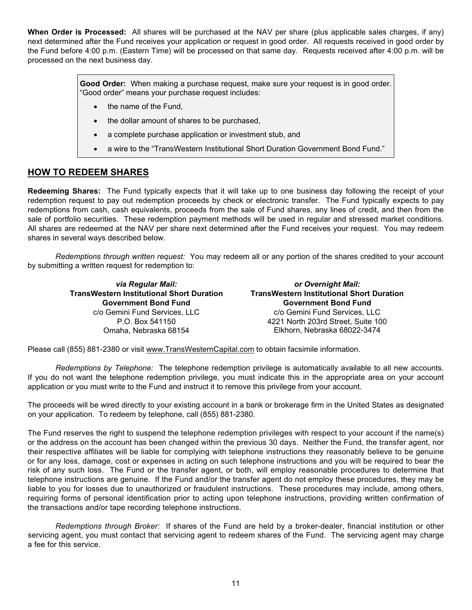**When Order is Processed:** All shares will be purchased at the NAV per share (plus applicable sales charges, if any) next determined after the Fund receives your application or request in good order. All requests received in good order by the Fund before 4:00 p.m. (Eastern Time) will be processed on that same day. Requests received after 4:00 p.m. will be processed on the next business day.

> **Good Order:** When making a purchase request, make sure your request is in good order. "Good order" means your purchase request includes:

- the name of the Fund,
- the dollar amount of shares to be purchased,
- a complete purchase application or investment stub, and
- a wire to the "TransWestern Institutional Short Duration Government Bond Fund."

#### **HOW TO REDEEM SHARES**

**Redeeming Shares:** The Fund typically expects that it will take up to one business day following the receipt of your redemption request to pay out redemption proceeds by check or electronic transfer. The Fund typically expects to pay redemptions from cash, cash equivalents, proceeds from the sale of Fund shares, any lines of credit, and then from the sale of portfolio securities. These redemption payment methods will be used in regular and stressed market conditions. All shares are redeemed at the NAV per share next determined after the Fund receives your request. You may redeem shares in several ways described below.

*Redemptions through written request:* You may redeem all or any portion of the shares credited to your account by submitting a written request for redemption to:

> *via Regular Mail:* **TransWestern Institutional Short Duration Government Bond Fund** c/o Gemini Fund Services, LLC P.O. Box 541150 Omaha, Nebraska 68154

*or Overnight Mail:* **TransWestern Institutional Short Duration Government Bond Fund** c/o Gemini Fund Services, LLC 4221 North 203rd Street, Suite 100 Elkhorn, Nebraska 68022-3474

Please call (855) 881-2380 or visit www.TransWesternCapital.com to obtain facsimile information.

*Redemptions by Telephone:* The telephone redemption privilege is automatically available to all new accounts. If you do not want the telephone redemption privilege, you must indicate this in the appropriate area on your account application or you must write to the Fund and instruct it to remove this privilege from your account.

The proceeds will be wired directly to your existing account in a bank or brokerage firm in the United States as designated on your application. To redeem by telephone, call (855) 881-2380.

The Fund reserves the right to suspend the telephone redemption privileges with respect to your account if the name(s) or the address on the account has been changed within the previous 30 days. Neither the Fund, the transfer agent, nor their respective affiliates will be liable for complying with telephone instructions they reasonably believe to be genuine or for any loss, damage, cost or expenses in acting on such telephone instructions and you will be required to bear the risk of any such loss. The Fund or the transfer agent, or both, will employ reasonable procedures to determine that telephone instructions are genuine. If the Fund and/or the transfer agent do not employ these procedures, they may be liable to you for losses due to unauthorized or fraudulent instructions. These procedures may include, among others, requiring forms of personal identification prior to acting upon telephone instructions, providing written confirmation of the transactions and/or tape recording telephone instructions.

*Redemptions through Broker:* If shares of the Fund are held by a broker-dealer, financial institution or other servicing agent, you must contact that servicing agent to redeem shares of the Fund. The servicing agent may charge a fee for this service.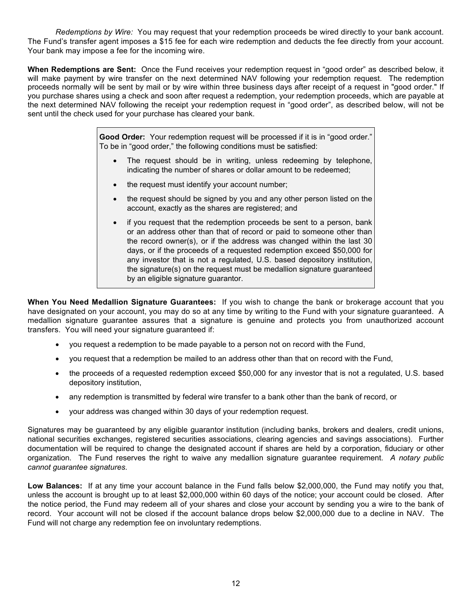*Redemptions by Wire:* You may request that your redemption proceeds be wired directly to your bank account. The Fund's transfer agent imposes a \$15 fee for each wire redemption and deducts the fee directly from your account. Your bank may impose a fee for the incoming wire.

**When Redemptions are Sent:** Once the Fund receives your redemption request in "good order" as described below, it will make payment by wire transfer on the next determined NAV following your redemption request. The redemption proceeds normally will be sent by mail or by wire within three business days after receipt of a request in "good order." If you purchase shares using a check and soon after request a redemption, your redemption proceeds, which are payable at the next determined NAV following the receipt your redemption request in "good order", as described below, will not be sent until the check used for your purchase has cleared your bank.

> **Good Order:** Your redemption request will be processed if it is in "good order." To be in "good order," the following conditions must be satisfied:

- The request should be in writing, unless redeeming by telephone, indicating the number of shares or dollar amount to be redeemed;
- the request must identify your account number;
- the request should be signed by you and any other person listed on the account, exactly as the shares are registered; and
- if you request that the redemption proceeds be sent to a person, bank or an address other than that of record or paid to someone other than the record owner(s), or if the address was changed within the last 30 days, or if the proceeds of a requested redemption exceed \$50,000 for any investor that is not a regulated, U.S. based depository institution, the signature(s) on the request must be medallion signature guaranteed by an eligible signature guarantor.

**When You Need Medallion Signature Guarantees:** If you wish to change the bank or brokerage account that you have designated on your account, you may do so at any time by writing to the Fund with your signature guaranteed. A medallion signature guarantee assures that a signature is genuine and protects you from unauthorized account transfers. You will need your signature guaranteed if:

- you request a redemption to be made payable to a person not on record with the Fund,
- you request that a redemption be mailed to an address other than that on record with the Fund,
- the proceeds of a requested redemption exceed \$50,000 for any investor that is not a regulated, U.S. based depository institution,
- any redemption is transmitted by federal wire transfer to a bank other than the bank of record, or
- your address was changed within 30 days of your redemption request.

Signatures may be guaranteed by any eligible guarantor institution (including banks, brokers and dealers, credit unions, national securities exchanges, registered securities associations, clearing agencies and savings associations). Further documentation will be required to change the designated account if shares are held by a corporation, fiduciary or other organization. The Fund reserves the right to waive any medallion signature guarantee requirement. *A notary public cannot guarantee signatures.* 

**Low Balances:** If at any time your account balance in the Fund falls below \$2,000,000, the Fund may notify you that, unless the account is brought up to at least \$2,000,000 within 60 days of the notice; your account could be closed. After the notice period, the Fund may redeem all of your shares and close your account by sending you a wire to the bank of record. Your account will not be closed if the account balance drops below \$2,000,000 due to a decline in NAV. The Fund will not charge any redemption fee on involuntary redemptions.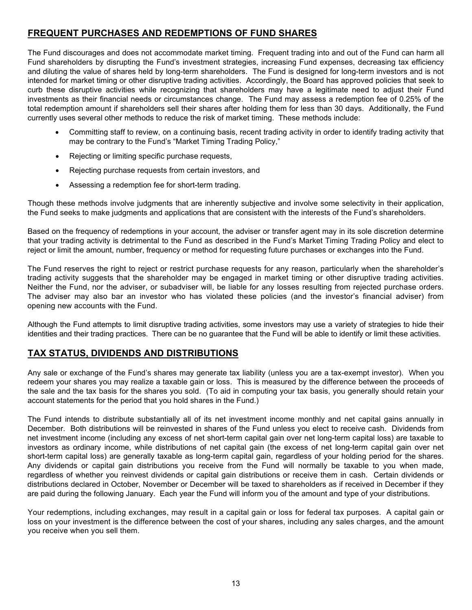### **FREQUENT PURCHASES AND REDEMPTIONS OF FUND SHARES**

The Fund discourages and does not accommodate market timing. Frequent trading into and out of the Fund can harm all Fund shareholders by disrupting the Fund's investment strategies, increasing Fund expenses, decreasing tax efficiency and diluting the value of shares held by long-term shareholders. The Fund is designed for long-term investors and is not intended for market timing or other disruptive trading activities. Accordingly, the Board has approved policies that seek to curb these disruptive activities while recognizing that shareholders may have a legitimate need to adjust their Fund investments as their financial needs or circumstances change. The Fund may assess a redemption fee of 0.25% of the total redemption amount if shareholders sell their shares after holding them for less than 30 days. Additionally, the Fund currently uses several other methods to reduce the risk of market timing. These methods include:

- Committing staff to review, on a continuing basis, recent trading activity in order to identify trading activity that may be contrary to the Fund's "Market Timing Trading Policy,"
- Rejecting or limiting specific purchase requests,
- Rejecting purchase requests from certain investors, and
- Assessing a redemption fee for short-term trading.

Though these methods involve judgments that are inherently subjective and involve some selectivity in their application, the Fund seeks to make judgments and applications that are consistent with the interests of the Fund's shareholders.

Based on the frequency of redemptions in your account, the adviser or transfer agent may in its sole discretion determine that your trading activity is detrimental to the Fund as described in the Fund's Market Timing Trading Policy and elect to reject or limit the amount, number, frequency or method for requesting future purchases or exchanges into the Fund.

The Fund reserves the right to reject or restrict purchase requests for any reason, particularly when the shareholder's trading activity suggests that the shareholder may be engaged in market timing or other disruptive trading activities. Neither the Fund, nor the adviser, or subadviser will, be liable for any losses resulting from rejected purchase orders. The adviser may also bar an investor who has violated these policies (and the investor's financial adviser) from opening new accounts with the Fund.

Although the Fund attempts to limit disruptive trading activities, some investors may use a variety of strategies to hide their identities and their trading practices. There can be no guarantee that the Fund will be able to identify or limit these activities.

### **TAX STATUS, DIVIDENDS AND DISTRIBUTIONS**

Any sale or exchange of the Fund's shares may generate tax liability (unless you are a tax-exempt investor). When you redeem your shares you may realize a taxable gain or loss. This is measured by the difference between the proceeds of the sale and the tax basis for the shares you sold. (To aid in computing your tax basis, you generally should retain your account statements for the period that you hold shares in the Fund.)

The Fund intends to distribute substantially all of its net investment income monthly and net capital gains annually in December. Both distributions will be reinvested in shares of the Fund unless you elect to receive cash. Dividends from net investment income (including any excess of net short-term capital gain over net long-term capital loss) are taxable to investors as ordinary income, while distributions of net capital gain (the excess of net long-term capital gain over net short-term capital loss) are generally taxable as long-term capital gain, regardless of your holding period for the shares. Any dividends or capital gain distributions you receive from the Fund will normally be taxable to you when made, regardless of whether you reinvest dividends or capital gain distributions or receive them in cash. Certain dividends or distributions declared in October, November or December will be taxed to shareholders as if received in December if they are paid during the following January. Each year the Fund will inform you of the amount and type of your distributions.

Your redemptions, including exchanges, may result in a capital gain or loss for federal tax purposes. A capital gain or loss on your investment is the difference between the cost of your shares, including any sales charges, and the amount you receive when you sell them.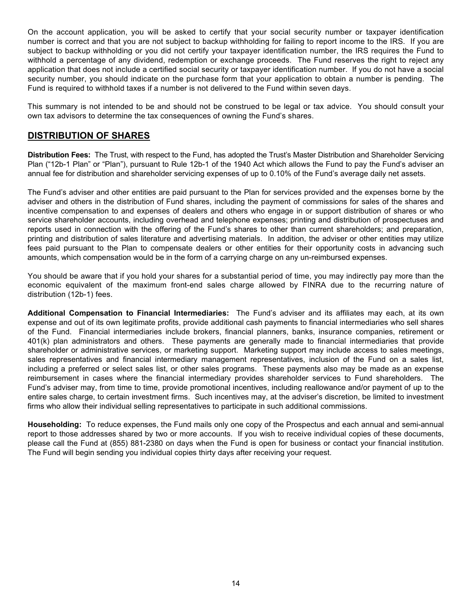On the account application, you will be asked to certify that your social security number or taxpayer identification number is correct and that you are not subject to backup withholding for failing to report income to the IRS. If you are subject to backup withholding or you did not certify your taxpayer identification number, the IRS requires the Fund to withhold a percentage of any dividend, redemption or exchange proceeds. The Fund reserves the right to reject any application that does not include a certified social security or taxpayer identification number. If you do not have a social security number, you should indicate on the purchase form that your application to obtain a number is pending. The Fund is required to withhold taxes if a number is not delivered to the Fund within seven days.

This summary is not intended to be and should not be construed to be legal or tax advice. You should consult your own tax advisors to determine the tax consequences of owning the Fund's shares.

### **DISTRIBUTION OF SHARES**

**Distribution Fees:** The Trust, with respect to the Fund, has adopted the Trust's Master Distribution and Shareholder Servicing Plan ("12b-1 Plan" or "Plan"), pursuant to Rule 12b-1 of the 1940 Act which allows the Fund to pay the Fund's adviser an annual fee for distribution and shareholder servicing expenses of up to 0.10% of the Fund's average daily net assets.

The Fund's adviser and other entities are paid pursuant to the Plan for services provided and the expenses borne by the adviser and others in the distribution of Fund shares, including the payment of commissions for sales of the shares and incentive compensation to and expenses of dealers and others who engage in or support distribution of shares or who service shareholder accounts, including overhead and telephone expenses; printing and distribution of prospectuses and reports used in connection with the offering of the Fund's shares to other than current shareholders; and preparation, printing and distribution of sales literature and advertising materials. In addition, the adviser or other entities may utilize fees paid pursuant to the Plan to compensate dealers or other entities for their opportunity costs in advancing such amounts, which compensation would be in the form of a carrying charge on any un-reimbursed expenses.

You should be aware that if you hold your shares for a substantial period of time, you may indirectly pay more than the economic equivalent of the maximum front-end sales charge allowed by FINRA due to the recurring nature of distribution (12b-1) fees.

**Additional Compensation to Financial Intermediaries:** The Fund's adviser and its affiliates may each, at its own expense and out of its own legitimate profits, provide additional cash payments to financial intermediaries who sell shares of the Fund. Financial intermediaries include brokers, financial planners, banks, insurance companies, retirement or 401(k) plan administrators and others. These payments are generally made to financial intermediaries that provide shareholder or administrative services, or marketing support. Marketing support may include access to sales meetings, sales representatives and financial intermediary management representatives, inclusion of the Fund on a sales list, including a preferred or select sales list, or other sales programs. These payments also may be made as an expense reimbursement in cases where the financial intermediary provides shareholder services to Fund shareholders. The Fund's adviser may, from time to time, provide promotional incentives, including reallowance and/or payment of up to the entire sales charge, to certain investment firms. Such incentives may, at the adviser's discretion, be limited to investment firms who allow their individual selling representatives to participate in such additional commissions.

**Householding:** To reduce expenses, the Fund mails only one copy of the Prospectus and each annual and semi-annual report to those addresses shared by two or more accounts. If you wish to receive individual copies of these documents, please call the Fund at (855) 881-2380 on days when the Fund is open for business or contact your financial institution. The Fund will begin sending you individual copies thirty days after receiving your request.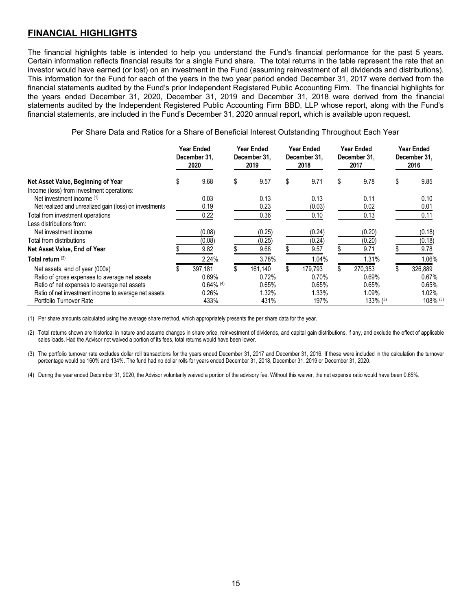### **FINANCIAL HIGHLIGHTS**

The financial highlights table is intended to help you understand the Fund's financial performance for the past 5 years. Certain information reflects financial results for a single Fund share. The total returns in the table represent the rate that an investor would have earned (or lost) on an investment in the Fund (assuming reinvestment of all dividends and distributions). This information for the Fund for each of the years in the two year period ended December 31, 2017 were derived from the financial statements audited by the Fund's prior Independent Registered Public Accounting Firm. The financial highlights for the years ended December 31, 2020, December 31, 2019 and December 31, 2018 were derived from the financial statements audited by the Independent Registered Public Accounting Firm BBD, LLP whose report, along with the Fund's financial statements, are included in the Fund's December 31, 2020 annual report, which is available upon request.

Per Share Data and Ratios for a Share of Beneficial Interest Outstanding Throughout Each Year

|                                                        | Year Ended<br>December 31.<br>2020 | Year Ended<br>December 31.<br>2019 | Year Ended<br>December 31.<br>2018 | Year Ended<br>December 31.<br>2017 | Year Ended<br>December 31.<br>2016 |
|--------------------------------------------------------|------------------------------------|------------------------------------|------------------------------------|------------------------------------|------------------------------------|
| Net Asset Value, Beginning of Year                     | 9.68                               | 9.57                               | 9.71                               | 9.78                               | 9.85                               |
| Income (loss) from investment operations:              |                                    |                                    |                                    |                                    |                                    |
| Net investment income (1)                              | 0.03                               | 0.13                               | 0.13                               | 0.11                               | 0.10                               |
| Net realized and unrealized gain (loss) on investments | 0.19                               | 0.23                               | (0.03)                             | 0.02                               | 0.01                               |
| Total from investment operations                       | 0.22                               | 0.36                               | 0.10                               | 0.13                               | 0.11                               |
| Less distributions from:                               |                                    |                                    |                                    |                                    |                                    |
| Net investment income                                  | (0.08)                             | (0.25)                             | (0.24)                             | (0.20)                             | (0.18)                             |
| Total from distributions                               | (0.08)                             | (0.25)                             | (0.24)                             | (0.20)                             | (0.18)                             |
| Net Asset Value, End of Year                           | 9.82                               | 9.68                               | 9.57                               | 9.71                               | 9.78                               |
| Total return (2)                                       | 2.24%                              | 3.78%                              | 1.04%                              | 1.31%                              | 1.06%                              |
| Net assets, end of year (000s)                         | 397,181                            | 161,140                            | \$<br>179,793                      | \$<br>270,353                      | \$<br>326,889                      |
| Ratio of gross expenses to average net assets          | 0.69%                              | 0.72%                              | 0.70%                              | 0.69%                              | 0.67%                              |
| Ratio of net expenses to average net assets            | $0.64\%$ (4)                       | 0.65%                              | 0.65%                              | 0.65%                              | 0.65%                              |
| Ratio of net investment income to average net assets   | 0.26%                              | 1.32%                              | 1.33%                              | 1.09%                              | 1.02%                              |
| Portfolio Turnover Rate                                | 433%                               | 431%                               | 197%                               | $133\%$ $(3)$                      | 108% (3)                           |

(1) Per share amounts calculated using the average share method, which appropriately presents the per share data for the year.

(2) Total returns shown are historical in nature and assume changes in share price, reinvestment of dividends, and capital gain distributions, if any, and exclude the effect of applicable sales loads. Had the Advisor not waived a portion of its fees, total returns would have been lower.

(3) The portfolio turnover rate excludes dollar roll transactions for the years ended December 31, 2017 and December 31, 2016. If these were included in the calculation the turnover percentage would be 160% and 134%. The fund had no dollar rolls for years ended December 31, 2018, December 31, 2019 or December 31, 2020.

(4) During the year ended December 31, 2020, the Advisor voluntarily waived a portion of the advisory fee. Without this waiver, the net expense ratio would have been 0.65%.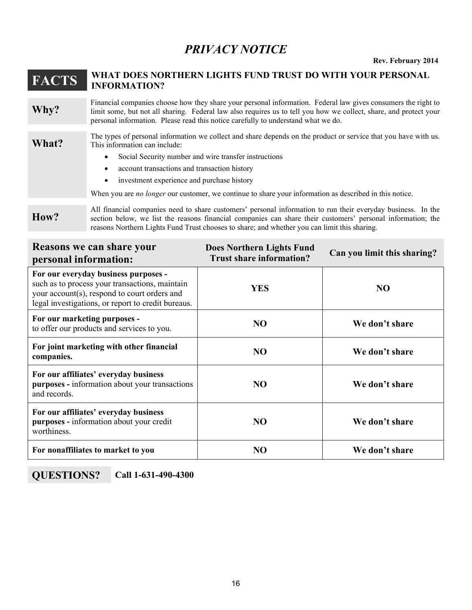## *PRIVACY NOTICE*

**Rev. February 2014**

### **FACTS WHAT DOES NORTHERN LIGHTS FUND TRUST DO WITH YOUR PERSONAL INFORMATION?**

**Why?** Financial companies choose how they share your personal information. Federal law gives consumers the right to limit some, but not all sharing. Federal law also requires us to tell you how we collect, share, and protect your personal information. Please read this notice carefully to understand what we do.

**What?** The types of personal information we collect and share depends on the product or service that you have with us. This information can include:

- Social Security number and wire transfer instructions
- account transactions and transaction history
- investment experience and purchase history

When you are *no longer* our customer, we continue to share your information as described in this notice.

**How?**

All financial companies need to share customers' personal information to run their everyday business. In the section below, we list the reasons financial companies can share their customers' personal information; the reasons Northern Lights Fund Trust chooses to share; and whether you can limit this sharing.

| <b>Reasons we can share your</b><br>personal information:                                                                                                                                    | <b>Does Northern Lights Fund</b><br><b>Trust share information?</b> | Can you limit this sharing? |  |  |
|----------------------------------------------------------------------------------------------------------------------------------------------------------------------------------------------|---------------------------------------------------------------------|-----------------------------|--|--|
| For our everyday business purposes -<br>such as to process your transactions, maintain<br>your account(s), respond to court orders and<br>legal investigations, or report to credit bureaus. | YES                                                                 | N <sub>O</sub>              |  |  |
| For our marketing purposes -<br>to offer our products and services to you.                                                                                                                   | NO.                                                                 | We don't share              |  |  |
| For joint marketing with other financial<br>companies.                                                                                                                                       | N <sub>O</sub>                                                      | We don't share              |  |  |
| For our affiliates' everyday business<br>purposes - information about your transactions<br>and records.                                                                                      | <b>NO</b>                                                           | We don't share              |  |  |
| For our affiliates' everyday business<br>purposes - information about your credit<br>worthiness.                                                                                             | <b>NO</b>                                                           | We don't share              |  |  |
| For nonaffiliates to market to you                                                                                                                                                           | NO                                                                  | We don't share              |  |  |

**QUESTIONS? Call 1-631-490-4300**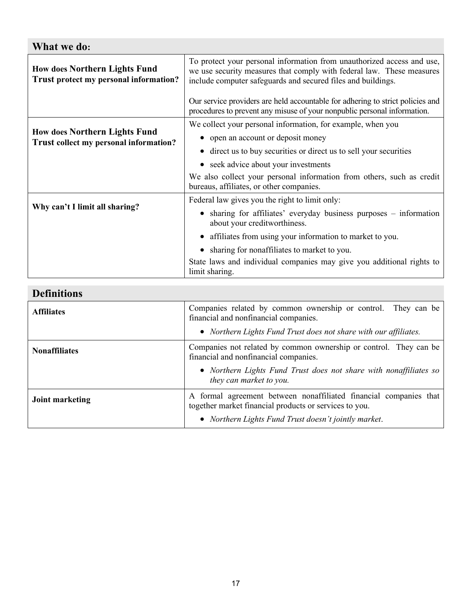### **What we do:**

| <b>How does Northern Lights Fund</b><br>Trust protect my personal information? | To protect your personal information from unauthorized access and use,<br>we use security measures that comply with federal law. These measures<br>include computer safeguards and secured files and buildings.<br>Our service providers are held accountable for adhering to strict policies and<br>procedures to prevent any misuse of your nonpublic personal information. |  |  |
|--------------------------------------------------------------------------------|-------------------------------------------------------------------------------------------------------------------------------------------------------------------------------------------------------------------------------------------------------------------------------------------------------------------------------------------------------------------------------|--|--|
| <b>How does Northern Lights Fund</b>                                           | We collect your personal information, for example, when you                                                                                                                                                                                                                                                                                                                   |  |  |
| Trust collect my personal information?                                         | • open an account or deposit money                                                                                                                                                                                                                                                                                                                                            |  |  |
|                                                                                | • direct us to buy securities or direct us to sell your securities                                                                                                                                                                                                                                                                                                            |  |  |
|                                                                                | • seek advice about your investments                                                                                                                                                                                                                                                                                                                                          |  |  |
|                                                                                | We also collect your personal information from others, such as credit<br>bureaus, affiliates, or other companies.                                                                                                                                                                                                                                                             |  |  |
|                                                                                | Federal law gives you the right to limit only:                                                                                                                                                                                                                                                                                                                                |  |  |
| Why can't I limit all sharing?                                                 | • sharing for affiliates' everyday business purposes – information<br>about your creditworthiness.                                                                                                                                                                                                                                                                            |  |  |
|                                                                                | • affiliates from using your information to market to you.                                                                                                                                                                                                                                                                                                                    |  |  |
|                                                                                | sharing for nonaffiliates to market to you.                                                                                                                                                                                                                                                                                                                                   |  |  |
|                                                                                | State laws and individual companies may give you additional rights to<br>limit sharing.                                                                                                                                                                                                                                                                                       |  |  |

| <b>Definitions</b>   |                                                                                                                             |
|----------------------|-----------------------------------------------------------------------------------------------------------------------------|
| <b>Affiliates</b>    | Companies related by common ownership or control. They can be<br>financial and nonfinancial companies.                      |
|                      | • Northern Lights Fund Trust does not share with our affiliates.                                                            |
| <b>Nonaffiliates</b> | Companies not related by common ownership or control. They can be<br>financial and nonfinancial companies.                  |
|                      | • Northern Lights Fund Trust does not share with nonaffiliates so<br>they can market to you.                                |
| Joint marketing      | A formal agreement between nonaffiliated financial companies that<br>together market financial products or services to you. |
|                      | • Northern Lights Fund Trust doesn't jointly market.                                                                        |